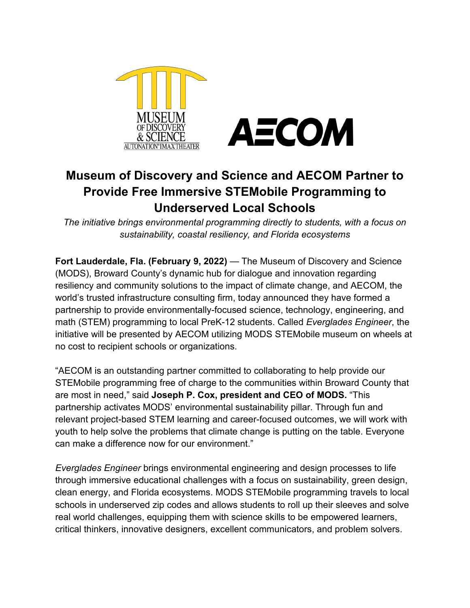

## **Museum of Discovery and Science and AECOM Partner to Provide Free Immersive STEMobile Programming to Underserved Local Schools**

*The initiative brings environmental programming directly to students, with a focus on sustainability, coastal resiliency, and Florida ecosystems*

**Fort Lauderdale, Fla. (February 9, 2022)** — The Museum of Discovery and Science (MODS), Broward County's dynamic hub for dialogue and innovation regarding resiliency and community solutions to the impact of climate change, and AECOM, the world's trusted infrastructure consulting firm, today announced they have formed a partnership to provide environmentally-focused science, technology, engineering, and math (STEM) programming to local PreK-12 students. Called *Everglades Engineer*, the initiative will be presented by AECOM utilizing MODS STEMobile museum on wheels at no cost to recipient schools or organizations.

"AECOM is an outstanding partner committed to collaborating to help provide our STEMobile programming free of charge to the communities within Broward County that are most in need," said **Joseph P. Cox, president and CEO of MODS.** "This partnership activates MODS' environmental sustainability pillar. Through fun and relevant project-based STEM learning and career-focused outcomes, we will work with youth to help solve the problems that climate change is putting on the table. Everyone can make a difference now for our environment."

*Everglades Engineer* brings environmental engineering and design processes to life through immersive educational challenges with a focus on sustainability, green design, clean energy, and Florida ecosystems. MODS STEMobile programming travels to local schools in underserved zip codes and allows students to roll up their sleeves and solve real world challenges, equipping them with science skills to be empowered learners, critical thinkers, innovative designers, excellent communicators, and problem solvers.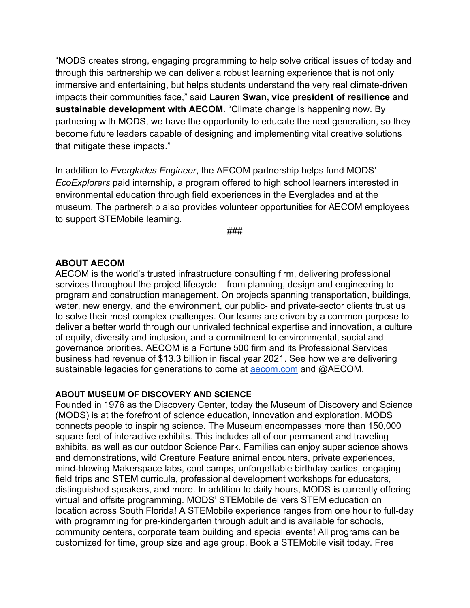"MODS creates strong, engaging programming to help solve critical issues of today and through this partnership we can deliver a robust learning experience that is not only immersive and entertaining, but helps students understand the very real climate-driven impacts their communities face," said **Lauren Swan, vice president of resilience and sustainable development with AECOM**. "Climate change is happening now. By partnering with MODS, we have the opportunity to educate the next generation, so they become future leaders capable of designing and implementing vital creative solutions that mitigate these impacts."

In addition to *Everglades Engineer*, the AECOM partnership helps fund MODS' *EcoExplorers* paid internship, a program offered to high school learners interested in environmental education through field experiences in the Everglades and at the museum. The partnership also provides volunteer opportunities for AECOM employees to support STEMobile learning.

###

## **ABOUT AECOM**

AECOM is the world's trusted infrastructure consulting firm, delivering professional services throughout the project lifecycle – from planning, design and engineering to program and construction management. On projects spanning transportation, buildings, water, new energy, and the environment, our public- and private-sector clients trust us to solve their most complex challenges. Our teams are driven by a common purpose to deliver a better world through our unrivaled technical expertise and innovation, a culture of equity, diversity and inclusion, and a commitment to environmental, social and governance priorities. AECOM is a Fortune 500 firm and its Professional Services business had revenue of \$13.3 billion in fiscal year 2021. See how we are delivering sustainable legacies for generations to come at [aecom.com](http://aecom.com/) and @AECOM.

## **ABOUT MUSEUM OF DISCOVERY AND SCIENCE**

Founded in 1976 as the Discovery Center, today the Museum of Discovery and Science (MODS) is at the forefront of science education, innovation and exploration. MODS connects people to inspiring science. The Museum encompasses more than 150,000 square feet of interactive exhibits. This includes all of our permanent and traveling exhibits, as well as our outdoor Science Park. Families can enjoy super science shows and demonstrations, wild Creature Feature animal encounters, private experiences, mind-blowing Makerspace labs, cool camps, unforgettable birthday parties, engaging field trips and STEM curricula, professional development workshops for educators, distinguished speakers, and more. In addition to daily hours, MODS is currently offering virtual and offsite programming. MODS' STEMobile delivers STEM education on location across South Florida! A STEMobile experience ranges from one hour to full-day with programming for pre-kindergarten through adult and is available for schools, community centers, corporate team building and special events! All programs can be customized for time, group size and age group. Book a STEMobile visit today. Free